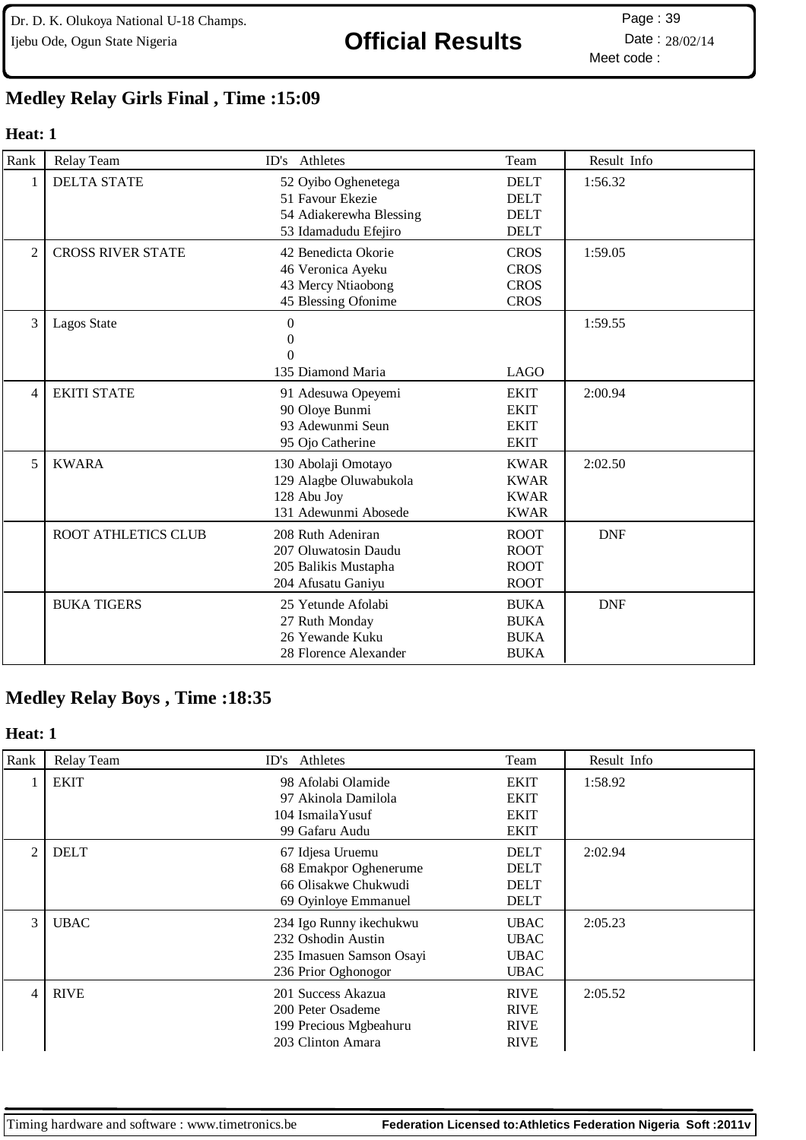Dr. D. K. Olukoya National U-18 Champs. Ijebu Ode, Ogun State Nigeria **Official Results** Date : 28/02/14

Meet code : Page: 39

## **Medley Relay Girls Final , Time :15:09**

### **Heat: 1**

| Rank           | Relay Team                 | ID's Athletes                                                                              | Team                                                     | Result Info |
|----------------|----------------------------|--------------------------------------------------------------------------------------------|----------------------------------------------------------|-------------|
| 1              | <b>DELTA STATE</b>         | 52 Oyibo Oghenetega<br>51 Favour Ekezie<br>54 Adiakerewha Blessing<br>53 Idamadudu Efejiro | <b>DELT</b><br><b>DELT</b><br><b>DELT</b><br><b>DELT</b> | 1:56.32     |
| $\overline{2}$ | <b>CROSS RIVER STATE</b>   | 42 Benedicta Okorie<br>46 Veronica Ayeku<br>43 Mercy Ntiaobong<br>45 Blessing Ofonime      | <b>CROS</b><br><b>CROS</b><br><b>CROS</b><br><b>CROS</b> | 1:59.05     |
| 3              | Lagos State                | $\theta$<br>$\Omega$<br>$\theta$<br>135 Diamond Maria                                      | <b>LAGO</b>                                              | 1:59.55     |
| $\overline{4}$ | <b>EKITI STATE</b>         | 91 Adesuwa Opeyemi<br>90 Oloye Bunmi<br>93 Adewunmi Seun<br>95 Ojo Catherine               | <b>EKIT</b><br><b>EKIT</b><br><b>EKIT</b><br><b>EKIT</b> | 2:00.94     |
| 5              | <b>KWARA</b>               | 130 Abolaji Omotayo<br>129 Alagbe Oluwabukola<br>128 Abu Joy<br>131 Adewunmi Abosede       | <b>KWAR</b><br><b>KWAR</b><br><b>KWAR</b><br><b>KWAR</b> | 2:02.50     |
|                | <b>ROOT ATHLETICS CLUB</b> | 208 Ruth Adeniran<br>207 Oluwatosin Daudu<br>205 Balikis Mustapha<br>204 Afusatu Ganiyu    | <b>ROOT</b><br><b>ROOT</b><br><b>ROOT</b><br><b>ROOT</b> | <b>DNF</b>  |
|                | <b>BUKA TIGERS</b>         | 25 Yetunde Afolabi<br>27 Ruth Monday<br>26 Yewande Kuku<br>28 Florence Alexander           | <b>BUKA</b><br><b>BUKA</b><br><b>BUKA</b><br><b>BUKA</b> | <b>DNF</b>  |

# **Medley Relay Boys , Time :18:35**

#### **Heat: 1**

| Rank | Relay Team  | ID's Athletes                                                                                    | Team                                                     | Result Info |
|------|-------------|--------------------------------------------------------------------------------------------------|----------------------------------------------------------|-------------|
|      | <b>EKIT</b> | 98 Afolabi Olamide<br>97 Akinola Damilola<br>104 IsmailaYusuf<br>99 Gafaru Audu                  | <b>EKIT</b><br><b>EKIT</b><br><b>EKIT</b><br><b>EKIT</b> | 1:58.92     |
| 2    | <b>DELT</b> | 67 Idjesa Uruemu<br>68 Emakpor Oghenerume<br>66 Olisakwe Chukwudi<br>69 Oyinloye Emmanuel        | <b>DELT</b><br><b>DELT</b><br><b>DELT</b><br><b>DELT</b> | 2:02.94     |
| 3    | <b>UBAC</b> | 234 Igo Runny ikechukwu<br>232 Oshodin Austin<br>235 Imasuen Samson Osayi<br>236 Prior Oghonogor | <b>UBAC</b><br><b>UBAC</b><br><b>UBAC</b><br><b>UBAC</b> | 2:05.23     |
| 4    | <b>RIVE</b> | 201 Success Akazua<br>200 Peter Osademe<br>199 Precious Mgbeahuru<br>203 Clinton Amara           | <b>RIVE</b><br><b>RIVE</b><br><b>RIVE</b><br><b>RIVE</b> | 2:05.52     |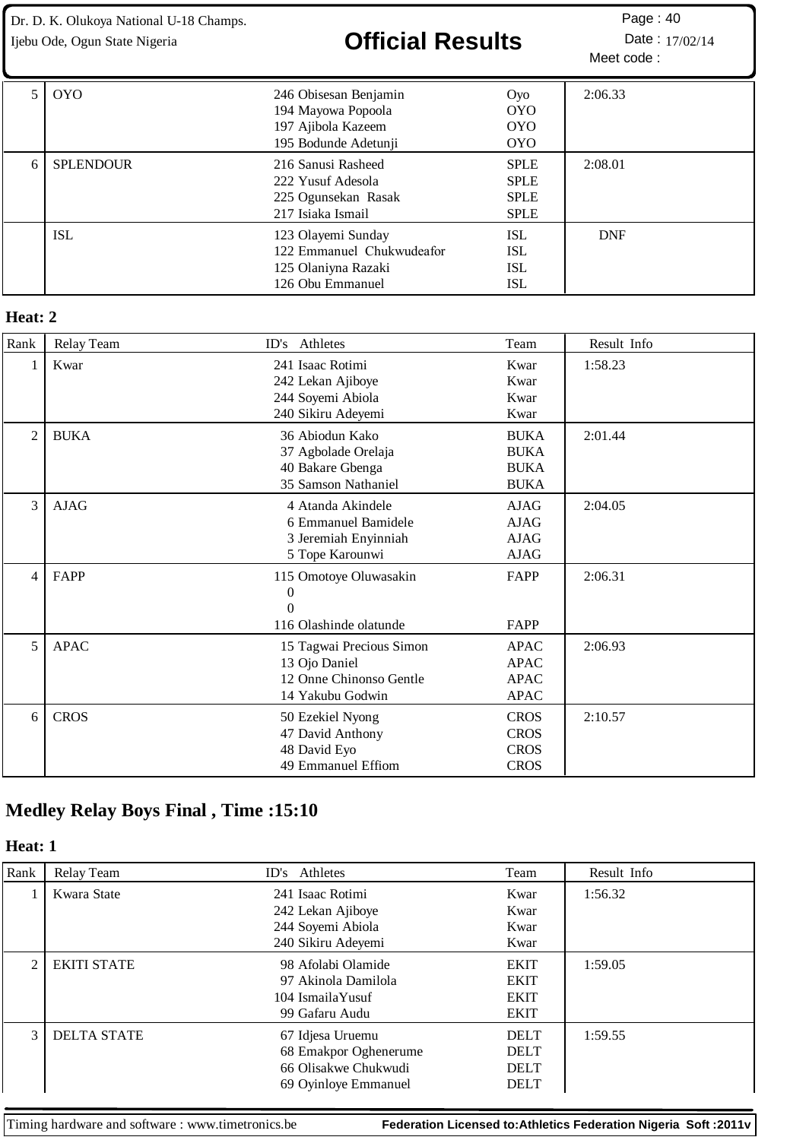Dr. D. K. Olukoya National U-18 Champs.

# Ijebu Ode, Ogun State Nigeria **Christian Contain Contain Packary Date** : 17/02/14

|   | <b>OYO</b>       | 246 Obisesan Benjamin<br>194 Mayowa Popoola<br>197 Ajibola Kazeem<br>195 Bodunde Adetunji  | Oyo<br><b>OYO</b><br><b>OYO</b><br><b>OYO</b>            | 2:06.33    |
|---|------------------|--------------------------------------------------------------------------------------------|----------------------------------------------------------|------------|
| 6 | <b>SPLENDOUR</b> | 216 Sanusi Rasheed<br>222 Yusuf Adesola<br>225 Ogunsekan Rasak<br>217 Isiaka Ismail        | <b>SPLE</b><br><b>SPLE</b><br><b>SPLE</b><br><b>SPLE</b> | 2:08.01    |
|   | ISL              | 123 Olayemi Sunday<br>122 Emmanuel Chukwudeafor<br>125 Olaniyna Razaki<br>126 Obu Emmanuel | <b>ISL</b><br>ISL<br>ISL<br>ISL                          | <b>DNF</b> |

#### **Heat: 2**

| Rank           | Relay Team  | ID's Athletes                                                                            | Team                                                     | Result Info |
|----------------|-------------|------------------------------------------------------------------------------------------|----------------------------------------------------------|-------------|
| 1              | Kwar        | 241 Isaac Rotimi<br>242 Lekan Ajiboye<br>244 Soyemi Abiola<br>240 Sikiru Adeyemi         | Kwar<br>Kwar<br>Kwar<br>Kwar                             | 1:58.23     |
| $\overline{2}$ | <b>BUKA</b> | 36 Abiodun Kako<br>37 Agbolade Orelaja<br>40 Bakare Gbenga<br>35 Samson Nathaniel        | <b>BUKA</b><br><b>BUKA</b><br><b>BUKA</b><br><b>BUKA</b> | 2:01.44     |
| 3              | <b>AJAG</b> | 4 Atanda Akindele<br>6 Emmanuel Bamidele<br>3 Jeremiah Enyinniah<br>5 Tope Karounwi      | AJAG<br><b>AJAG</b><br>AIAG<br>AJAG                      | 2:04.05     |
| $\overline{4}$ | FAPP        | 115 Omotoye Oluwasakin<br>$\boldsymbol{0}$<br>$\theta$<br>116 Olashinde olatunde         | FAPP<br>FAPP                                             | 2:06.31     |
| 5              | <b>APAC</b> | 15 Tagwai Precious Simon<br>13 Ojo Daniel<br>12 Onne Chinonso Gentle<br>14 Yakubu Godwin | <b>APAC</b><br><b>APAC</b><br><b>APAC</b><br><b>APAC</b> | 2:06.93     |
| 6              | <b>CROS</b> | 50 Ezekiel Nyong<br>47 David Anthony<br>48 David Eyo<br>49 Emmanuel Effiom               | <b>CROS</b><br><b>CROS</b><br><b>CROS</b><br><b>CROS</b> | 2:10.57     |

# **Medley Relay Boys Final , Time :15:10**

### **Heat: 1**

| Rank                        | Relay Team         | ID's Athletes         | Team        | Result Info |
|-----------------------------|--------------------|-----------------------|-------------|-------------|
|                             | Kwara State        | 241 Isaac Rotimi      | Kwar        | 1:56.32     |
|                             |                    | 242 Lekan Ajiboye     | Kwar        |             |
|                             |                    | 244 Soyemi Abiola     | Kwar        |             |
|                             |                    | 240 Sikiru Adeyemi    | Kwar        |             |
| $\mathcal{D}_{\mathcal{L}}$ | <b>EKITI STATE</b> | 98 Afolabi Olamide    | <b>EKIT</b> | 1:59.05     |
|                             |                    | 97 Akinola Damilola   | <b>EKIT</b> |             |
|                             |                    | 104 IsmailaYusuf      | <b>EKIT</b> |             |
|                             |                    | 99 Gafaru Audu        | <b>EKIT</b> |             |
| $\mathcal{F}$               | <b>DELTA STATE</b> | 67 Idjesa Uruemu      | <b>DELT</b> | 1:59.55     |
|                             |                    | 68 Emakpor Oghenerume | <b>DELT</b> |             |
|                             |                    | 66 Olisakwe Chukwudi  | <b>DELT</b> |             |
|                             |                    | 69 Oyinloye Emmanuel  | <b>DELT</b> |             |